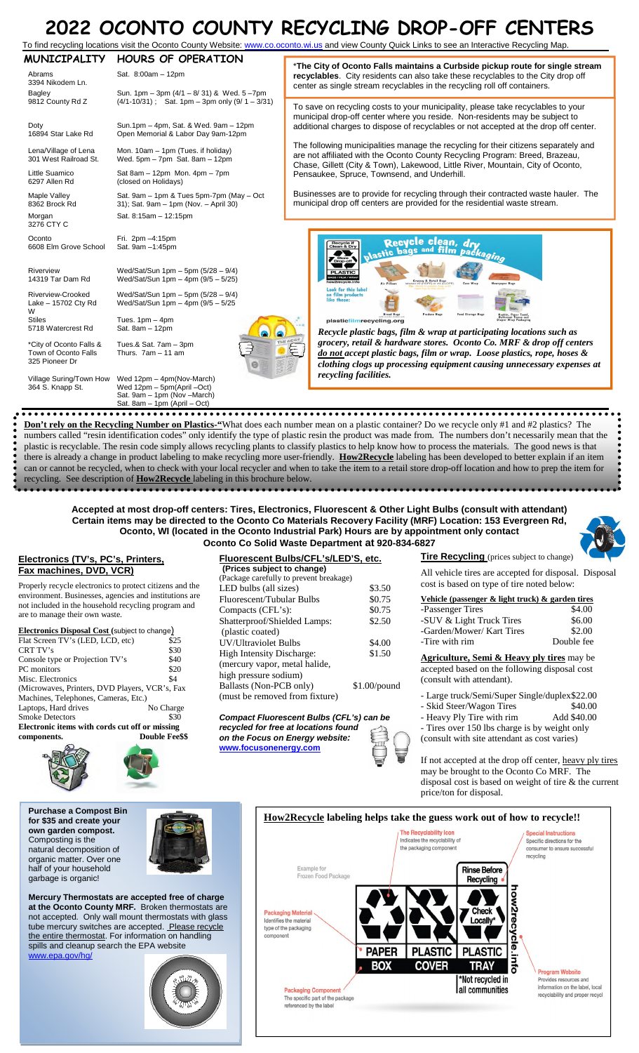## **2022 OCONTO COUNTY RECYCLING DROP-OFF CENTERS**

| ZUZZ UCUNTU CUUNTY RECYCLING DRUP-UFF CENTERS<br>To find recycling locations visit the Oconto County Website: www.co.oconto.wi.us and view County Quick Links to see an Interactive Recycling Map. |                                                                                                                                   |                                                                                                                                                                                                                                                         |  |  |  |
|----------------------------------------------------------------------------------------------------------------------------------------------------------------------------------------------------|-----------------------------------------------------------------------------------------------------------------------------------|---------------------------------------------------------------------------------------------------------------------------------------------------------------------------------------------------------------------------------------------------------|--|--|--|
| <b>MUNICIPALITY</b><br>Abrams<br>3394 Nikodem Ln.<br>Bagley                                                                                                                                        | <b>HOURS OF OPERATION</b><br>Sat. 8:00am - 12pm<br>Sun. 1pm - 3pm (4/1 - 8/ 31) & Wed. 5-7pm                                      | *The City of Oconto Falls maintains a Curbside pickup route for single stream<br>recyclables. City residents can also take these recyclables to the City drop off<br>center as single stream recyclables in the recycling roll off containers.          |  |  |  |
| 9812 County Rd Z<br>Doty<br>16894 Star Lake Rd                                                                                                                                                     | $(4/1-10/31)$ ; Sat. 1pm - 3pm only $(9/1 - 3/31)$<br>Sun.1pm - 4pm, Sat. & Wed. 9am - 12pm<br>Open Memorial & Labor Day 9am-12pm | To save on recycling costs to your municipality, please take recyclables to your<br>municipal drop-off center where you reside. Non-residents may be subject to<br>additional charges to dispose of recyclables or not accepted at the drop off center. |  |  |  |
| Lena/Village of Lena<br>301 West Railroad St.                                                                                                                                                      | Mon. 10am - 1pm (Tues. if holiday)<br>Wed. $5pm - 7pm$ Sat. $8am - 12pm$                                                          | The following municipalities manage the recycling for their citizens separately and<br>are not affiliated with the Oconto County Recycling Program: Breed, Brazeau,<br>Chase, Gillett (City & Town), Lakewood, Little River, Mountain, City of Oconto,  |  |  |  |
| Little Suamico<br>6297 Allen Rd                                                                                                                                                                    | Sat 8am $-$ 12pm Mon. 4pm $-$ 7pm<br>(closed on Holidays)                                                                         | Pensaukee, Spruce, Townsend, and Underhill.                                                                                                                                                                                                             |  |  |  |
| Maple Valley<br>8362 Brock Rd                                                                                                                                                                      | Sat. 9am - 1pm & Tues 5pm-7pm (May - Oct<br>31); Sat. 9am - 1pm (Nov. - April 30)                                                 | Businesses are to provide for recycling through their contracted waste hauler. The<br>municipal drop off centers are provided for the residential waste stream.                                                                                         |  |  |  |
| Morgan<br>3276 CTY C                                                                                                                                                                               | Sat. 8:15am - 12:15pm                                                                                                             |                                                                                                                                                                                                                                                         |  |  |  |
| Oconto<br>6608 Elm Grove School                                                                                                                                                                    | Fri. 2pm -4:15pm<br>Sat. 9am -1:45pm                                                                                              | Recycle clean, drv<br>Recycle if<br>Clean & Dry<br>plastic bags and film packaging<br>Store \                                                                                                                                                           |  |  |  |
| Riverview<br>14319 Tar Dam Rd                                                                                                                                                                      | Wed/Sat/Sun 1pm - 5pm (5/28 - 9/4)<br>Wed/Sat/Sun 1pm - 4pm (9/5 - 5/25)                                                          | <b>PLASTIC</b><br>AGS / FILM / WRAP<br>Grecory & Retail Bags<br>Incl #2 (HDPE) or #4 (LLDPE)<br>w2recycle.info<br>Case Wrap<br><b>Air Pillows</b><br>Newcoaper Bags                                                                                     |  |  |  |
| Riverview-Crooked<br>Lake - 15702 Cty Rd<br>W                                                                                                                                                      | Wed/Sat/Sun 1pm - 5pm $(5/28 - 9/4)$<br>Wed/Sat/Sun 1pm - 4pm (9/5 - 5/25)                                                        | Look for this label<br>on film products<br>like these:<br><b>Bread Bags</b><br>Produce Bags<br>Food Storage Bags                                                                                                                                        |  |  |  |
| <b>Stiles</b><br>5718 Watercrest Rd                                                                                                                                                                | Tues. $1pm - 4pm$<br>Sat. 8am - 12pm                                                                                              | plasticfilmrecycling.org<br>Recycle plastic bags, film & wrap at participating locations such as                                                                                                                                                        |  |  |  |
| *City of Oconto Falls &<br>Town of Oconto Falls<br>325 Pioneer Dr                                                                                                                                  | Tues.& Sat. 7am - 3pm<br>Thurs. $7am - 11 am$                                                                                     | HE NEWS<br>grocery, retail & hardware stores. Oconto Co. MRF & drop off centers<br>€<br>do not accept plastic bags, film or wrap. Loose plastics, rope, hoses &<br>clothing clogs up processing equipment causing unnecessary expenses at               |  |  |  |

Village Suring/Town How 364 S. Knapp St. Wed 12pm – 4pm(Nov-March) Wed 12pm – 5pm(April –Oct)

Sat. 9am – 1pm (Nov –March) Sat. 8am – 1pm (April – Oct)

**Don't rely on the Recycling Number on Plastics-"**What does each number mean on a plastic container? Do we recycle only #1 and #2 plastics? The numbers called "resin identification codes" only identify the type of plastic resin the product was made from. The numbers don't necessarily mean that the plastic is recyclable. The resin code simply allows recycling plants to classify plastics to help know how to process the materials. The good news is that there is already a change in product labeling to make recycling more user-friendly. **How2Recycle** labeling has been developed to better explain if an item can or cannot be recycled, when to check with your local recycler and when to take the item to a retail store drop-off location and how to prep the item for recycling. See description of **How2Recycle** labeling in this brochure below.

*recycling facilities.*

**Accepted at most drop-off centers: Tires, Electronics, Fluorescent & Other Light Bulbs (consult with attendant) Certain items may be directed to the Oconto Co Materials Recovery Facility (MRF) Location: 153 Evergreen Rd, Oconto, WI (located in the Oconto Industrial Park) Hours are by appointment only contact Oconto Co Solid Waste Department at 920-834-6827** 

## **Electronics (TV's, PC's, Printers, Fax machines, DVD, VCR)**

Properly recycle electronics to protect citizens and the environment. Businesses, agencies and institutions are not included in the household recycling program and are to manage their own waste.

| Electronics Disposal Cost (subject to change)  |                       |  |  |
|------------------------------------------------|-----------------------|--|--|
| Flat Screen TV's (LED, LCD, etc)               | \$25                  |  |  |
| CRT TV's                                       | \$30                  |  |  |
| Console type or Projection TV's                | \$40                  |  |  |
| PC monitors                                    | \$20                  |  |  |
| Misc. Electronics                              | \$4                   |  |  |
| (Microwaves, Printers, DVD Players, VCR's, Fax |                       |  |  |
| Machines, Telephones, Cameras, Etc.)           |                       |  |  |
| Laptops, Hard drives                           | No Charge             |  |  |
| <b>Smoke Detectors</b>                         | \$30                  |  |  |
| Electronic items with cords cut off or missing |                       |  |  |
| components.                                    | <b>Double Fee\$\$</b> |  |  |
|                                                |                       |  |  |



**Purchase a Compost Bin for \$35 and create your own garden compost.**  Composting is the natural decomposition of organic matter. Over one half of your household garbage is organic!



**Mercury Thermostats are accepted free of charge at the Oconto County MRF.** Broken thermostats are not accepted. Only wall mount thermostats with glass tube mercury switches are accepted. Please recycle the entire thermostat. For information on handling spills and cleanup search the EPA website www.epa.gov/hg/



| Fluorescent Bulbs/CFL's/LED'S, etc.     |  |  |  |  |
|-----------------------------------------|--|--|--|--|
|                                         |  |  |  |  |
|                                         |  |  |  |  |
| \$3.50                                  |  |  |  |  |
| \$0.75                                  |  |  |  |  |
| \$0.75                                  |  |  |  |  |
| \$2.50                                  |  |  |  |  |
|                                         |  |  |  |  |
| \$4.00                                  |  |  |  |  |
| \$1.50                                  |  |  |  |  |
|                                         |  |  |  |  |
|                                         |  |  |  |  |
| $$1.00$ /pound                          |  |  |  |  |
|                                         |  |  |  |  |
| (Package carefully to prevent breakage) |  |  |  |  |

*Compact Fluorescent Bulbs (CFL's) can be recycled for free at locations found on the Focus on Energy website:* **www.focusonenergy.com**

| \$2.50           |  |
|------------------|--|
| \$4.00<br>\$1.50 |  |
| $$1.00$ /pound   |  |

**Tire Recycling** (prices subject to change)

All vehicle tires are accepted for disposal. Disposal cost is based on type of tire noted below:

| Vehicle (passenger $\&$ light truck) $\&$ garden tires |            |
|--------------------------------------------------------|------------|
| -Passenger Tires                                       | \$4.00     |
| -SUV & Light Truck Tires                               | \$6.00     |
| -Garden/Mower/ Kart Tires                              | \$2.00     |
| -Tire with rim                                         | Double fee |

**Agriculture, Semi & Heavy ply tires** may be accepted based on the following disposal cost (consult with attendant).

- Large truck/Semi/Super Single/duplex \$22.00

- Skid Steer/Wagon Tires \$40.00
- Heavy Ply Tire with rim Add \$40.00

- Tires over 150 lbs charge is by weight only (consult with site attendant as cost varies)

If not accepted at the drop off center, heavy ply tires may be brought to the Oconto Co MRF. The disposal cost is based on weight of tire & the current price/ton for disposal.